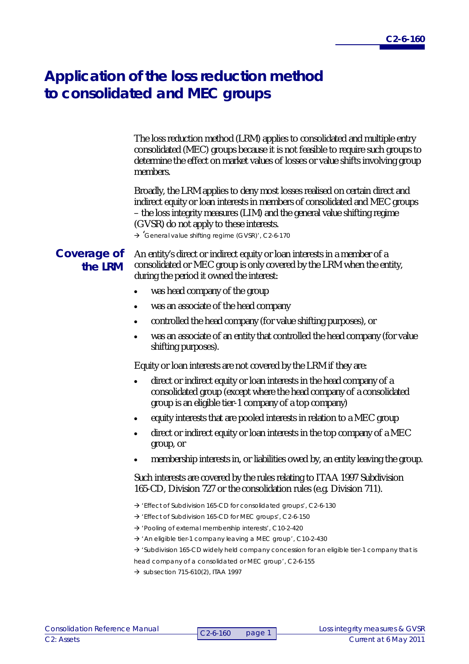## **Application of the loss reduction method to consolidated and MEC groups**

The loss reduction method (LRM) applies to consolidated and multiple entry consolidated (MEC) groups because it is not feasible to require such groups to determine the effect on market values of losses or value shifts involving group members.

Broadly, the LRM applies to deny most losses realised on certain direct and indirect equity or loan interests in members of consolidated and MEC groups – the loss integrity measures (LIM) and the general value shifting regime (GVSR) do not apply to these interests.

 $\rightarrow$  'General value shifting regime (GVSR)', C2-6-170

## **Coverage of the LRM**

An entity's direct or indirect equity or loan interests in a member of a consolidated or MEC group is only covered by the LRM when the entity, during the period it owned the interest:

- was head company of the group
- was an associate of the head company
- controlled the head company (for value shifting purposes), or
- was an associate of an entity that controlled the head company (for value shifting purposes).

Equity or loan interests are not covered by the LRM if they are:

- direct or indirect equity or loan interests in the head company of a consolidated group (except where the head company of a consolidated group is an eligible tier-1 company of a top company)
- equity interests that are pooled interests in relation to a MEC group
- direct or indirect equity or loan interests in the top company of a MEC group, or
- membership interests in, or liabilities owed by, an entity leaving the group.

Such interests are covered by the rules relating to ITAA 1997 Subdivision 165-CD, Division 727 or the consolidation rules (e.g. Division 711).

- 'Effect of Subdivision 165-CD for consolidated groups', C2-6-130
- 'Effect of Subdivision 165-CD for MEC groups', C2-6-150
- 'Pooling of external membership interests', C10-2-420
- $\rightarrow$  'An eligible tier-1 company leaving a MEC group', C10-2-430
- $\rightarrow$  'Subdivision 165-CD widely held company concession for an eligible tier-1 company that is head company of a consolidated or MEC group', C2-6-155
- $\rightarrow$  subsection 715-610(2), ITAA 1997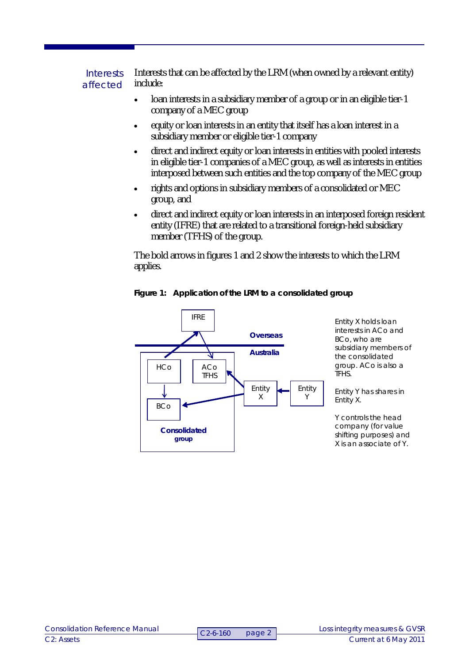Interests that can be affected by the LRM (when owned by a relevant entity) include: **Interests** affected

- loan interests in a subsidiary member of a group or in an eligible tier-1 company of a MEC group
- equity or loan interests in an entity that itself has a loan interest in a subsidiary member or eligible tier-1 company
- direct and indirect equity or loan interests in entities with pooled interests in eligible tier-1 companies of a MEC group, as well as interests in entities interposed between such entities and the top company of the MEC group
- rights and options in subsidiary members of a consolidated or MEC group, and
- direct and indirect equity or loan interests in an interposed foreign resident entity (IFRE) that are related to a transitional foreign-held subsidiary member (TFHS) of the group.

The bold arrows in figures 1 and 2 show the interests to which the LRM applies.



**Figure 1: Application of the LRM to a consolidated group**

Entity X holds loan interests in ACo and BCo, who are subsidiary members of the consolidated group. ACo is also a TFHS.

Entity Y has shares in Entity X.

Y controls the head company (for value shifting purposes) and X is an associate of Y.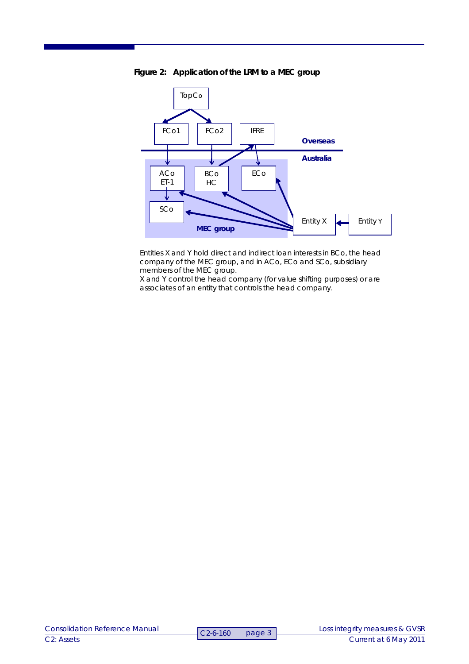

**Figure 2: Application of the LRM to a MEC group**

Entities X and Y hold direct and indirect loan interests in BCo, the head company of the MEC group, and in ACo, ECo and SCo, subsidiary members of the MEC group.

X and Y control the head company (for value shifting purposes) or are associates of an entity that controls the head company.